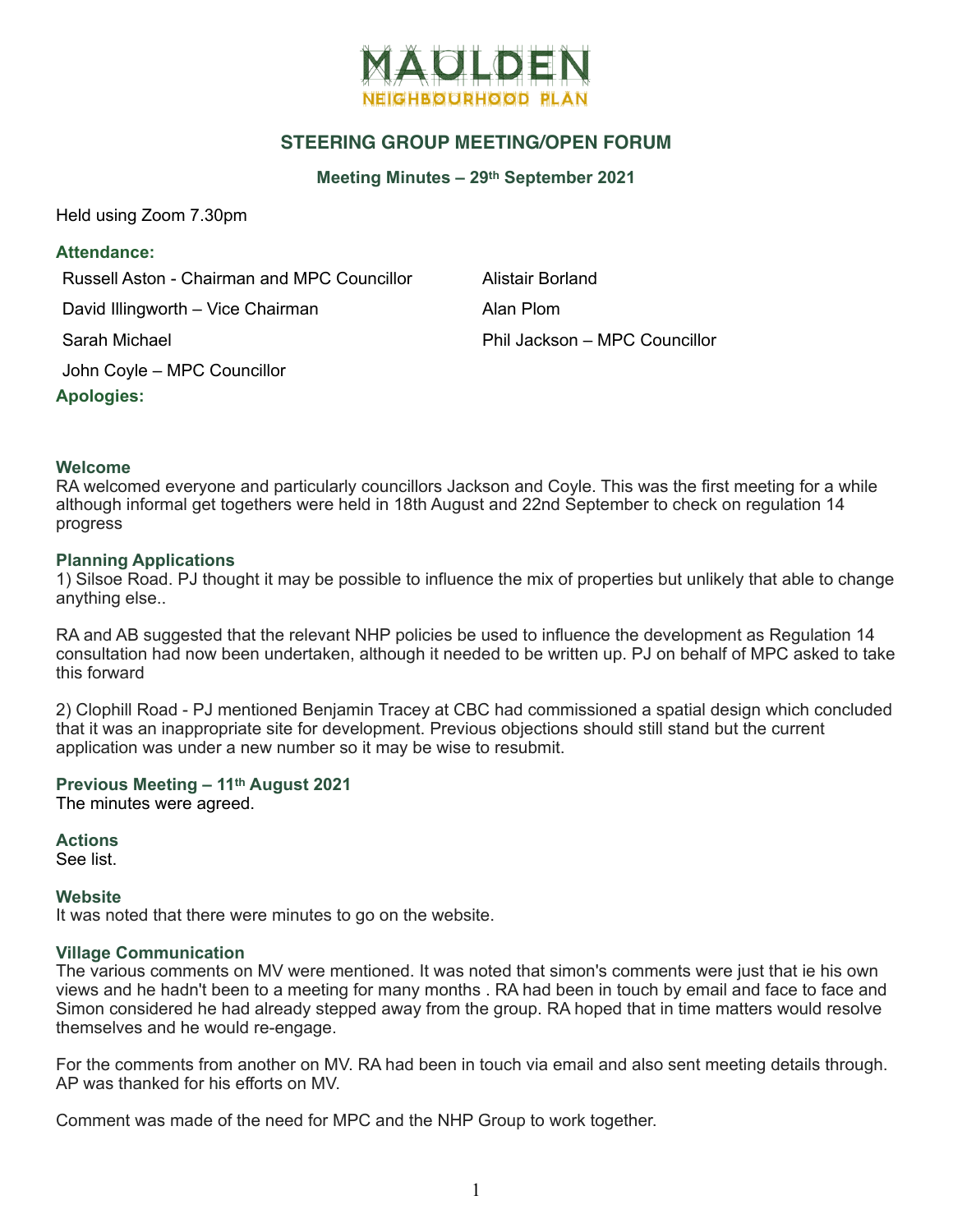

# **STEERING GROUP MEETING/OPEN FORUM**

**Meeting Minutes – 29th September 2021**

Held using Zoom 7.30pm

## **Attendance:**

Russell Aston - Chairman and MPC Councillor **Alistair Borland** David Illingworth – Vice Chairman Alan Plom

John Coyle – MPC Councillor

**Apologies:**

Sarah Michael Phil Jackson – MPC Councillor

## **Welcome**

RA welcomed everyone and particularly councillors Jackson and Coyle. This was the first meeting for a while although informal get togethers were held in 18th August and 22nd September to check on regulation 14 progress

## **Planning Applications**

1) Silsoe Road. PJ thought it may be possible to influence the mix of properties but unlikely that able to change anything else..

RA and AB suggested that the relevant NHP policies be used to influence the development as Regulation 14 consultation had now been undertaken, although it needed to be written up. PJ on behalf of MPC asked to take this forward

2) Clophill Road - PJ mentioned Benjamin Tracey at CBC had commissioned a spatial design which concluded that it was an inappropriate site for development. Previous objections should still stand but the current application was under a new number so it may be wise to resubmit.

### **Previous Meeting – 11th August 2021**

The minutes were agreed.

**Actions**

See list.

### **Website**

It was noted that there were minutes to go on the website.

### **Village Communication**

The various comments on MV were mentioned. It was noted that simon's comments were just that ie his own views and he hadn't been to a meeting for many months . RA had been in touch by email and face to face and Simon considered he had already stepped away from the group. RA hoped that in time matters would resolve themselves and he would re-engage.

For the comments from another on MV. RA had been in touch via email and also sent meeting details through. AP was thanked for his efforts on MV.

Comment was made of the need for MPC and the NHP Group to work together.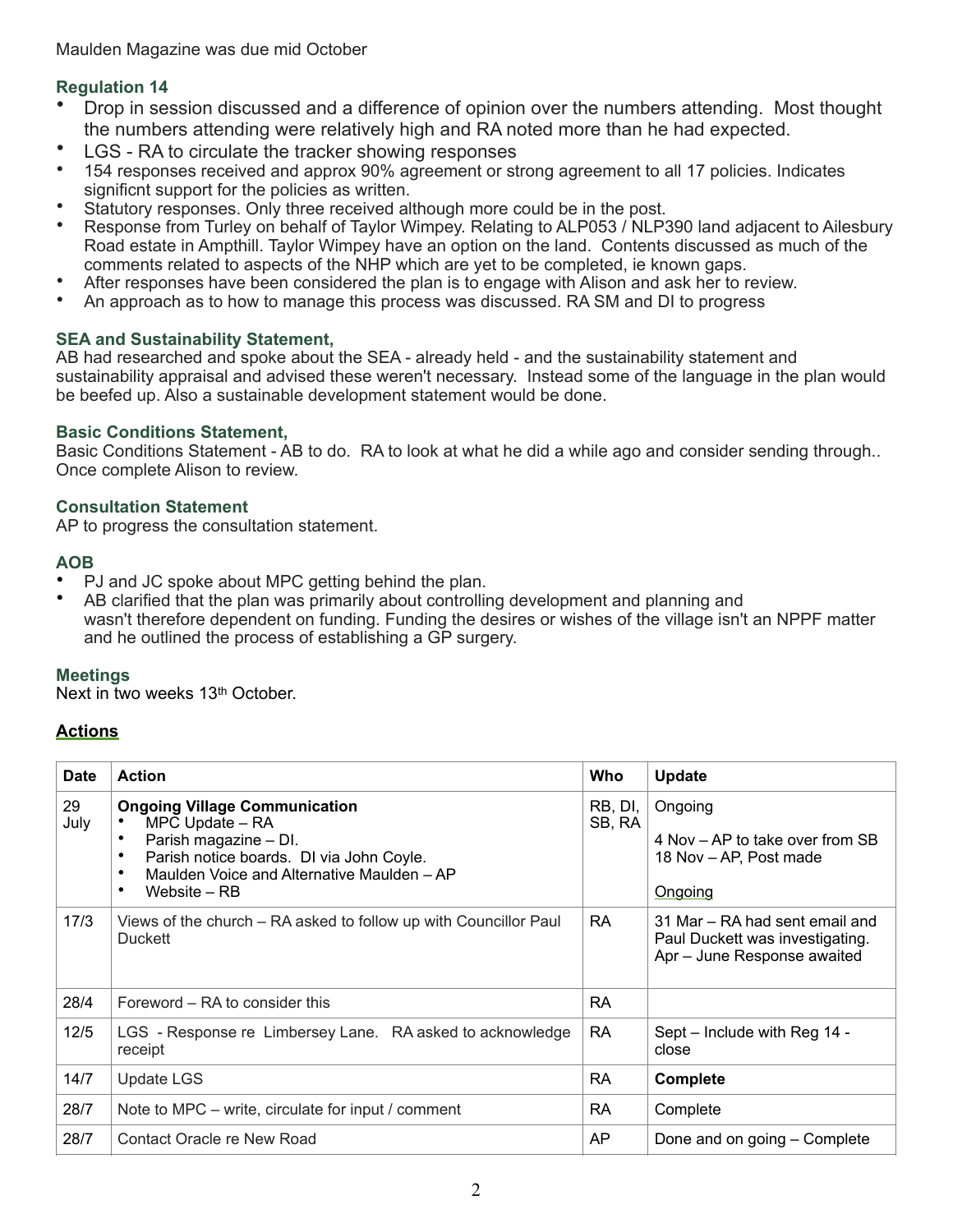# **Regulation 14**

- Drop in session discussed and a difference of opinion over the numbers attending. Most thought the numbers attending were relatively high and RA noted more than he had expected.
- LGS RA to circulate the tracker showing responses<br>• 154 responses received and approx 90% agreement or st
- 154 responses received and approx 90% agreement or strong agreement to all 17 policies. Indicates significnt support for the policies as written.
- Statutory responses. Only three received although more could be in the post.
- Response from Turley on behalf of Taylor Wimpey. Relating to ALP053 / NLP390 land adjacent to Ailesbury Road estate in Ampthill. Taylor Wimpey have an option on the land. Contents discussed as much of the comments related to aspects of the NHP which are yet to be completed, ie known gaps.
- After responses have been considered the plan is to engage with Alison and ask her to review.
- An approach as to how to manage this process was discussed. RA SM and DI to progress

# **SEA and Sustainability Statement,**

AB had researched and spoke about the SEA - already held - and the sustainability statement and sustainability appraisal and advised these weren't necessary. Instead some of the language in the plan would be beefed up. Also a sustainable development statement would be done.

# **Basic Conditions Statement,**

Basic Conditions Statement - AB to do. RA to look at what he did a while ago and consider sending through.. Once complete Alison to review.

## **Consultation Statement**

AP to progress the consultation statement.

# **AOB**

- PJ and JC spoke about MPC getting behind the plan.
- AB clarified that the plan was primarily about controlling development and planning and wasn't therefore dependent on funding. Funding the desires or wishes of the village isn't an NPPF matter and he outlined the process of establishing a GP surgery.

# **Meetings**

Next in two weeks 13<sup>th</sup> October.

# **Actions**

| <b>Date</b> | <b>Action</b>                                                                                                                                                                                                | Who               | Update                                                                                           |
|-------------|--------------------------------------------------------------------------------------------------------------------------------------------------------------------------------------------------------------|-------------------|--------------------------------------------------------------------------------------------------|
| 29<br>July  | <b>Ongoing Village Communication</b><br>MPC Update - RA<br>Parish magazine - DI.<br>Parish notice boards. DI via John Coyle.<br>Maulden Voice and Alternative Maulden - AP<br>$\bullet$<br>Website – RB<br>٠ | RB, DI,<br>SB, RA | Ongoing<br>4 Nov – AP to take over from SB<br>18 Nov – AP, Post made<br>Ongoing                  |
| 17/3        | Views of the church - RA asked to follow up with Councillor Paul<br><b>Duckett</b>                                                                                                                           | <b>RA</b>         | 31 Mar – RA had sent email and<br>Paul Duckett was investigating.<br>Apr - June Response awaited |
| 28/4        | Foreword - RA to consider this                                                                                                                                                                               | <b>RA</b>         |                                                                                                  |
| 12/5        | LGS - Response re Limbersey Lane. RA asked to acknowledge<br>receipt                                                                                                                                         | RA                | Sept – Include with Reg 14 -<br>close                                                            |
| 14/7        | <b>Update LGS</b>                                                                                                                                                                                            | <b>RA</b>         | Complete                                                                                         |
| 28/7        | Note to MPC – write, circulate for input / comment                                                                                                                                                           | <b>RA</b>         | Complete                                                                                         |
| 28/7        | Contact Oracle re New Road                                                                                                                                                                                   | AP                | Done and on going - Complete                                                                     |